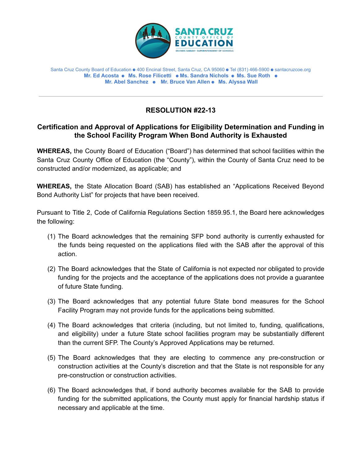

## Santa Cruz County Board of Education ⚈ 400 Encinal Street, Santa Cruz, CA 95060 ⚈ Tel (831) 466-5900 ⚈ santacruzcoe.org **Mr. Ed Acosta** ⚈ **Ms. Rose Filicetti** ⚈ **Ms. Sandra Nichols** ⚈ **Ms. Sue Roth** ⚈ **Mr. Abel Sanchez** ⚈ **Mr. Bruce Van Allen** ⚈ **Ms. Alyssa Wall**

## **RESOLUTION #22-13**

## **Certification and Approval of Applications for Eligibility Determination and Funding in the School Facility Program When Bond Authority is Exhausted**

**WHEREAS,** the County Board of Education ("Board") has determined that school facilities within the Santa Cruz County Office of Education (the "County"), within the County of Santa Cruz need to be constructed and/or modernized, as applicable; and

**WHEREAS,** the State Allocation Board (SAB) has established an "Applications Received Beyond Bond Authority List" for projects that have been received.

Pursuant to Title 2, Code of California Regulations Section 1859.95.1, the Board here acknowledges the following:

- (1) The Board acknowledges that the remaining SFP bond authority is currently exhausted for the funds being requested on the applications filed with the SAB after the approval of this action.
- (2) The Board acknowledges that the State of California is not expected nor obligated to provide funding for the projects and the acceptance of the applications does not provide a guarantee of future State funding.
- (3) The Board acknowledges that any potential future State bond measures for the School Facility Program may not provide funds for the applications being submitted.
- (4) The Board acknowledges that criteria (including, but not limited to, funding, qualifications, and eligibility) under a future State school facilities program may be substantially different than the current SFP. The County's Approved Applications may be returned.
- (5) The Board acknowledges that they are electing to commence any pre-construction or construction activities at the County's discretion and that the State is not responsible for any pre-construction or construction activities.
- (6) The Board acknowledges that, if bond authority becomes available for the SAB to provide funding for the submitted applications, the County must apply for financial hardship status if necessary and applicable at the time.